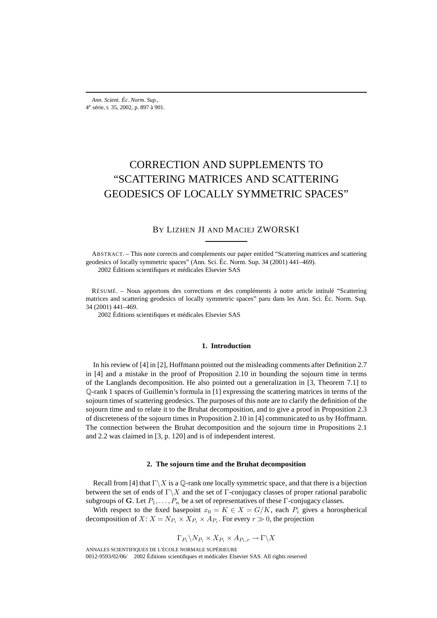# CORRECTION AND SUPPLEMENTS TO "SCATTERING MATRICES AND SCATTERING GEODESICS OF LOCALLY SYMMETRIC SPACES"

## BY LIZHEN JI AND MACIEJ ZWORSKI

ABSTRACT. – This note corrects and complements our paper entitled "Scattering matrices and scattering geodesics of locally symmetric spaces" (Ann. Sci. Éc. Norm. Sup. 34 (2001) 441–469). 2002 Éditions scientifiques et médicales Elsevier SAS

RÉSUMÉ. – Nous apportons des corrections et des compléments à notre article intitulé "Scattering matrices and scattering geodesics of locally symmetric spaces" paru dans les Ann. Sci. Éc. Norm. Sup. 34 (2001) 441–469.

2002 Éditions scientifiques et médicales Elsevier SAS

### **1. Introduction**

In his review of [4] in [2], Hoffmann pointed out the misleading comments after Definition 2.7 in [4] and a mistake in the proof of Proposition 2.10 in bounding the sojourn time in terms of the Langlands decomposition. He also pointed out a generalization in [3, Theorem 7.1] to Q-rank 1 spaces of Guillemin's formula in [1] expressing the scattering matrices in terms of the sojourn times of scattering geodesics. The purposes of this note are to clarify the definition of the sojourn time and to relate it to the Bruhat decomposition, and to give a proof in Proposition 2.3 of discreteness of the sojourn times in Proposition 2.10 in [4] communicated to us by Hoffmann. The connection between the Bruhat decomposition and the sojourn time in Propositions 2.1 and 2.2 was claimed in [3, p. 120] and is of independent interest.

#### **2. The sojourn time and the Bruhat decomposition**

Recall from [4] that  $\Gamma \backslash X$  is a Q-rank one locally symmetric space, and that there is a bijection between the set of ends of  $\Gamma\backslash X$  and the set of Γ-conjugacy classes of proper rational parabolic subgroups of **G**. Let  $P_1, \ldots, P_n$  be a set of representatives of these Γ-conjugacy classes.

With respect to the fixed basepoint  $x_0 = K \in X = G/K$ , each  $P_i$  gives a horospherical decomposition of  $X: X = N_{P_i} \times X_{P_i} \times A_{P_i}$ . For every  $r \gg 0$ , the projection

$$
\Gamma_{P_i} \backslash N_{P_i} \times X_{P_i} \times A_{P_i,r} \to \Gamma \backslash X
$$

ANNALES SCIENTIFIQUES DE L'ÉCOLE NORMALE SUPÉRIEURE 0012-9593/02/06/© 2002 Éditions scientifiques et médicales Elsevier SAS. All rights reserved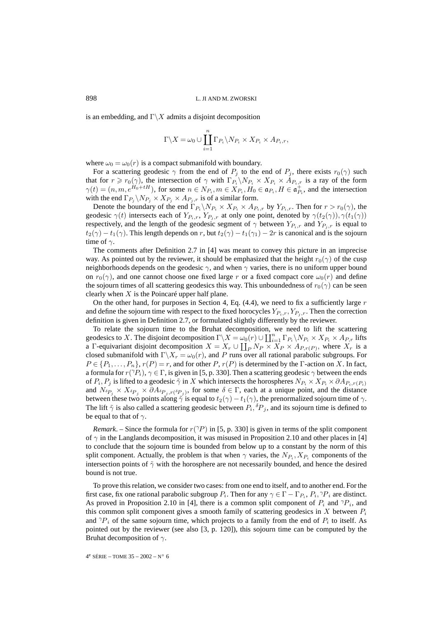is an embedding, and  $\Gamma \backslash X$  admits a disjoint decomposition

$$
\Gamma\backslash X=\omega_0\cup \coprod_{i=1}^n \Gamma_{P_i}\backslash N_{P_i}\times X_{P_i}\times A_{P_i,r},
$$

where  $\omega_0 = \omega_0(r)$  is a compact submanifold with boundary.

For a scattering geodesic  $\gamma$  from the end of  $P_j$  to the end of  $P_j$ , there exists  $r_0(\gamma)$  such that for  $r \ge r_0(\gamma)$ , the intersection of  $\gamma$  with  $\Gamma_{P_i} \setminus N_{P_i} \times X_{P_i} \times A_{P_i,r}$  is a ray of the form  $\gamma(t)=(n,m, e^{H_0+tH})$ , for some  $n \in N_{P_i}, m \in X_{P_i}, H_0 \in \mathfrak{a}_{P_i}, H \in \mathfrak{a}_{P_i}^+$ , and the intersection with the end  $\Gamma_{P_i} \backslash N_{P_i} \times X_{P_j} \times A_{P_j,r}$  is of a similar form.

Denote the boundary of the end  $\Gamma_{P_i} \backslash N_{P_i} \times X_{P_i} \times A_{P_i,r}$  by  $Y_{P_i,r}$ . Then for  $r > r_0(\gamma)$ , the geodesic  $\gamma(t)$  intersects each of  $Y_{P_i,r}$ ,  $Y_{P_j,r}$  at only one point, denoted by  $\gamma(t_2(\gamma)), \gamma(t_1(\gamma))$ respectively, and the length of the geodesic segment of  $\gamma$  between  $Y_{P_i,r}$  and  $Y_{P_j,r}$  is equal to  $t_2(\gamma) - t_1(\gamma)$ . This length depends on r, but  $t_2(\gamma) - t_1(\gamma) - 2r$  is canonical and is the sojourn time of  $\gamma$ .

The comments after Definition 2.7 in [4] was meant to convey this picture in an imprecise way. As pointed out by the reviewer, it should be emphasized that the height  $r_0(\gamma)$  of the cusp neighborhoods depends on the geodesic  $\gamma$ , and when  $\gamma$  varies, there is no uniform upper bound on  $r_0(\gamma)$ , and one cannot choose one fixed large r or a fixed compact core  $\omega_0(r)$  and define the sojourn times of all scattering geodesics this way. This unboundedness of  $r_0(\gamma)$  can be seen clearly when  $X$  is the Poincaré upper half plane.

On the other hand, for purposes in Section 4, Eq.  $(4.4)$ , we need to fix a sufficiently large r and define the sojourn time with respect to the fixed horocycles  $Y_{P_i,r}, Y_{P_j,r}$ . Then the correction definition is given in Definition 2.7, or formulated slightly differently by the reviewer.

To relate the sojourn time to the Bruhat decomposition, we need to lift the scattering geodesics to X. The disjoint decomposition  $\Gamma \backslash X = \omega_0(r) \cup \prod_{i=1}^n \Gamma_{P_i} \backslash N_{P_i} \times X_{P_i} \times A_{P,r}$  lifts a Γ-equivariant disjoint decomposition  $X = X_r \cup \coprod_P N_P \times X_P \times A_{P,r(P)}$ , where  $X_r$  is a closed submanifold with  $\Gamma \backslash X_r = \omega_0(r)$ , and P runs over all rational parabolic subgroups. For  $P \in \{P_1, \ldots, P_n\}, r(P) = r$ , and for other P,  $r(P)$  is determined by the Γ-action on X. In fact, a formula for  $r(\gamma P_i)$ ,  $\gamma \in \Gamma$ , is given in [5, p. 330]. Then a scattering geodesic  $\gamma$  between the ends of  $P_i, P_j$  is lifted to a geodesic  $\tilde{\gamma}$  in X which intersects the horospheres  $N_{P_i} \times X_{P_j} \times \partial A_{P_i, r(P_i)}$ and  $N_{\delta P_i} \times X_{\delta P_j} \times \partial A_{\delta P_i, r(\delta P_j)}$ , for some  $\delta \in \Gamma$ , each at a unique point, and the distance between these two points along  $\tilde{\gamma}$  is equal to  $t_2(\gamma) - t_1(\gamma)$ , the prenormalized sojourn time of  $\gamma$ . The lift  $\tilde{\gamma}$  is also called a scattering geodesic between  $P_i$ ,  ${}^{\delta}P_j$ , and its sojourn time is defined to be equal to that of  $\gamma$ .

*Remark.* – Since the formula for  $r(\gamma P)$  in [5, p. 330] is given in terms of the split component of  $\gamma$  in the Langlands decomposition, it was misused in Proposition 2.10 and other places in [4] to conclude that the sojourn time is bounded from below up to a constant by the norm of this split component. Actually, the problem is that when  $\gamma$  varies, the  $N_{P_i}, X_{P_i}$  components of the intersection points of  $\tilde{\gamma}$  with the horosphere are not necessarily bounded, and hence the desired bound is not true.

To prove this relation, we consider two cases: from one end to itself, and to another end. For the first case, fix one rational parabolic subgroup  $P_i$ . Then for any  $\gamma \in \Gamma - \Gamma_{P_i}$ ,  $P_i$ ,  $\gamma P_i$  are distinct. As proved in Proposition 2.10 in [4], there is a common split component of  $P_i$  and  $\gamma P_i$ , and this common split component gives a smooth family of scattering geodesics in X between  $P_i$ and  $\gamma_{i}$  of the same sojourn time, which projects to a family from the end of  $P_i$  to itself. As pointed out by the reviewer (see also [3, p. 120]), this sojourn time can be computed by the Bruhat decomposition of  $\gamma$ .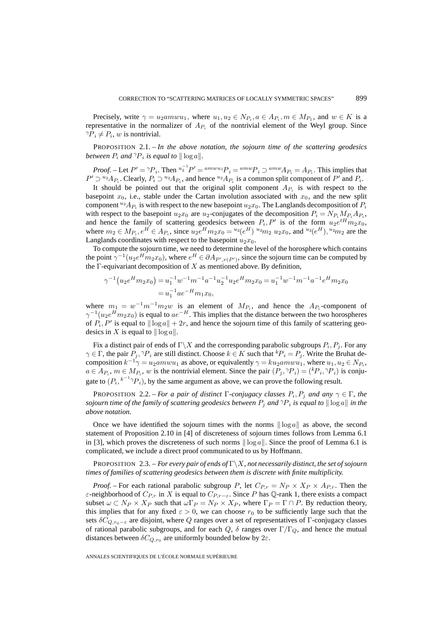Precisely, write  $\gamma = u_2 a m w u_1$ , where  $u_1, u_2 \in N_{P_i}$ ,  $a \in A_{P_i}$ ,  $m \in M_{P_1}$ , and  $w \in K$  is a representative in the normalizer of  $A_{P_i}$  of the nontrivial element of the Weyl group. Since  ${}^{\gamma}P_i \neq P_i$ , w is nontrivial.

PROPOSITION 2.1. – *In the above notation, the sojourn time of the scattering geodesics between*  $P_i$  *and*  $\gamma P_i$  *is equal to*  $\|\log a\|$ *.* 

*Proof.* – Let  $P' = \gamma P_i$ . Then  $u_2^{-1}P' = \alpha m w u_1 P_i = \alpha m w P_i \supset \alpha m w A_{P_i} = A_{P_i}$ . This implies that  $P' \supset {}^{u_2}A_{P_i}$ . Clearly,  $P_i \supset {}^{u_2}A_{P_i}$ , and hence  ${}^{u_2}A_{P_i}$  is a common split component of  $P'$  and  $P_i$ .

It should be pointed out that the original split component  $A_{P_i}$  is with respect to the basepoint  $x_0$ , i.e., stable under the Cartan involution associated with  $x_0$ , and the new split component  $^{u_2}A_{P_i}$  is with respect to the new basepoint  $u_2x_0$ . The Langlands decomposition of  $P_i$ with respect to the basepoint  $u_2x_0$  are  $u_2$ -conjugates of the decomposition  $P_i = N_{P_i} M_{P_i} A_{P_i}$ , and hence the family of scattering geodesics between  $P_i, P'$  is of the form  $u_2e^{tH}m_2x_0$ , where  $m_2 \in M_{P_i}$ ,  $e^H \in A_{P_i}$ , since  $u_2e^H m_2x_0 = {}^{u_2}(e^H) {}^{u_2}m_2 u_2x_0$ , and  ${}^{u_2}(e^H)$ ,  ${}^{u_2}m_2$  are the Langlands coordinates with respect to the basepoint  $u_2x_0$ .

To compute the sojourn time, we need to determine the level of the horosphere which contains the point  $\gamma^{-1}(u_2e^Hm_2x_0)$ , where  $e^H \in \partial A_{P',r(P')}$ , since the sojourn time can be computed by the  $\Gamma$ -equivariant decomposition of X as mentioned above. By definition,

$$
\gamma^{-1}(u_2 e^H m_2 x_0) = u_1^{-1} w^{-1} m^{-1} a^{-1} u_2^{-1} u_2 e^H m_2 x_0 = u_1^{-1} w^{-1} m^{-1} a^{-1} e^H m_2 x_0
$$
  
=  $u_1^{-1} a e^{-H} m_1 x_0$ ,

where  $m_1 = w^{-1}m^{-1}m_2w$  is an element of  $M_{P_i}$ , and hence the  $A_{P_i}$ -component of  $\gamma^{-1}(u_2e^Hm_2x_0)$  is equal to  $ae^{-H}$ . This implies that the distance between the two horospheres of  $P_i$ , P' is equal to  $\|\log a\| + 2r$ , and hence the sojourn time of this family of scattering geodesics in X is equal to  $\|\log a\|$ .

Fix a distinct pair of ends of  $\Gamma\backslash X$  and the corresponding parabolic subgroups  $P_i, P_j$ . For any  $\gamma \in \Gamma$ , the pair  $P_j$ ,  $\gamma P_i$  are still distinct. Choose  $k \in K$  such that  ${}^k P_i = P_j$ . Write the Bruhat decomposition  $k^{-1}\gamma = u_2 a m w u_1$  as above, or equivalently  $\gamma = u_2 a m w u_1$ , where  $u_1, u_2 \in N_{P_1}$ ,  $a \in A_{P_i}$ ,  $m \in M_{P_i}$ , w is the nontrivial element. Since the pair  $(P_j, \gamma P_i) = {^{k}P_i, \gamma P_i}$  is conjugate to  $(P_i, k^{-1} \gamma P_i)$ , by the same argument as above, we can prove the following result.

**PROPOSITION** 2.2. – *For a pair of distinct*  $\Gamma$ -conjugacy classes  $P_i$ ,  $P_j$  *and any*  $\gamma \in \Gamma$ *, the sojourn time of the family of scattering geodesics between*  $P_i$  *and*  $\gamma P_i$  *is equal to*  $\|\log a\|$  *in the above notation.*

Once we have identified the sojourn times with the norms  $\|\log a\|$  as above, the second statement of Proposition 2.10 in [4] of discreteness of sojourn times follows from Lemma 6.1 in [3], which proves the discreteness of such norms  $\|\log a\|$ . Since the proof of Lemma 6.1 is complicated, we include a direct proof communicated to us by Hoffmann.

PROPOSITION 2.3. – *For every pair of ends of* Γ\X*, not necessarily distinct, the set of sojourn times of families of scattering geodesics between them is discrete with finite multiplicity.*

*Proof.* – For each rational parabolic subgroup P, let  $C_{P,r} = N_P \times X_P \times A_{P,r}$ . Then the  $\varepsilon$ -neighborhood of  $C_{P,r}$  in X is equal to  $C_{P,r-\varepsilon}$ . Since P has Q-rank 1, there exists a compact subset  $\omega \subset N_P \times X_P$  such that  $\omega \Gamma_P = N_P \times X_P$ , where  $\Gamma_P = \Gamma \cap P$ . By reduction theory, this implies that for any fixed  $\varepsilon > 0$ , we can choose  $r_0$  to be sufficiently large such that the sets  $\delta C_{Q,r_0-\varepsilon}$  are disjoint, where Q ranges over a set of representatives of Γ-conjugacy classes of rational parabolic subgroups, and for each  $Q$ ,  $\delta$  ranges over  $\Gamma/\Gamma_Q$ , and hence the mutual distances between  $\delta C_{Q,r_0}$  are uniformly bounded below by  $2\varepsilon$ .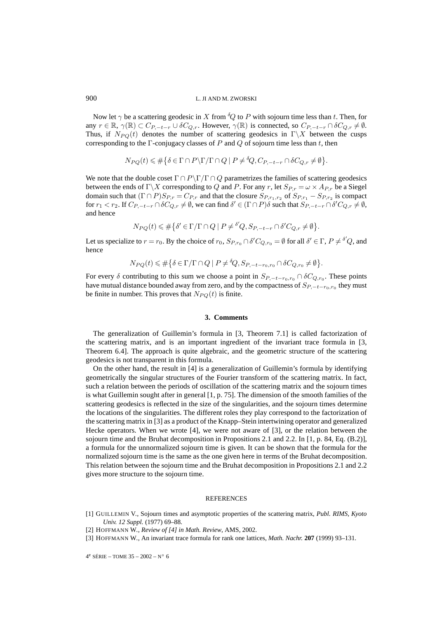Now let  $\gamma$  be a scattering geodesic in X from  ${}^{\delta}Q$  to P with sojourn time less than t. Then, for any  $r \in \mathbb{R}$ ,  $\gamma(\mathbb{R}) \subset C_{P, -t-r} \cup \delta C_{Q,r}$ . However,  $\gamma(\mathbb{R})$  is connected, so  $C_{P, -t-r} \cap \delta C_{Q,r} \neq \emptyset$ . Thus, if  $N_{PQ}(t)$  denotes the number of scattering geodesics in  $\Gamma\backslash X$  between the cusps corresponding to the  $\Gamma$ -conjugacy classes of P and Q of sojourn time less than t, then

$$
N_{PQ}(t) \leq \#\big\{\delta \in \Gamma \cap P \backslash \Gamma / \Gamma \cap Q \mid P \neq \delta Q, C_{P, -t-r} \cap \delta C_{Q,r} \neq \emptyset \big\}.
$$

We note that the double coset  $\Gamma \cap P\backslash \Gamma / \Gamma \cap Q$  parametrizes the families of scattering geodesics between the ends of  $\Gamma \backslash X$  corresponding to Q and P. For any r, let  $S_{P,r} = \omega \times A_{P,r}$  be a Siegel domain such that  $(\Gamma \cap P)S_{P,r} = C_{P,r}$  and that the closure  $S_{P,r_1,r_2}$  of  $S_{P,r_1} - S_{P,r_2}$  is compact for  $r_1 < r_2$ . If  $C_{P,-t-r} \cap \delta C_{Q,r} \neq \emptyset$ , we can find  $\delta' \in (\Gamma \cap P) \delta$  such that  $S_{P,-t-r} \cap \delta' C_{Q,r} \neq \emptyset$ , and hence

$$
N_{PQ}(t) \leq \#\big\{\delta' \in \Gamma/\Gamma \cap Q \mid P \neq \delta'Q, S_{P, -t-r} \cap \delta' C_{Q,r} \neq \emptyset\big\}.
$$

Let us specialize to  $r = r_0$ . By the choice of  $r_0$ ,  $S_{P,r_0} \cap \delta' C_{Q,r_0} = \emptyset$  for all  $\delta' \in \Gamma$ ,  $P \neq \delta' Q$ , and hence

$$
N_{PQ}(t) \leq \#\big\{\delta \in \Gamma/\Gamma \cap Q \mid P \neq \delta Q, S_{P,-t-r_0,r_0} \cap \delta C_{Q,r_0} \neq \emptyset \big\}.
$$

For every  $\delta$  contributing to this sum we choose a point in  $S_{P,-t-r_0,r_0} \cap \delta C_{Q,r_0}$ . These points have mutual distance bounded away from zero, and by the compactness of  $S_{P,-t-T0,T0}$  they must be finite in number. This proves that  $N_{PQ}(t)$  is finite.

### **3. Comments**

The generalization of Guillemin's formula in [3, Theorem 7.1] is called factorization of the scattering matrix, and is an important ingredient of the invariant trace formula in [3, Theorem 6.4]. The approach is quite algebraic, and the geometric structure of the scattering geodesics is not transparent in this formula.

On the other hand, the result in [4] is a generalization of Guillemin's formula by identifying geometrically the singular structures of the Fourier transform of the scattering matrix. In fact, such a relation between the periods of oscillation of the scattering matrix and the sojourn times is what Guillemin sought after in general [1, p. 75]. The dimension of the smooth families of the scattering geodesics is reflected in the size of the singularities, and the sojourn times determine the locations of the singularities. The different roles they play correspond to the factorization of the scattering matrix in [3] as a product of the Knapp–Stein intertwining operator and generalized Hecke operators. When we wrote [4], we were not aware of [3], or the relation between the sojourn time and the Bruhat decomposition in Propositions 2.1 and 2.2. In [1, p. 84, Eq. (B.2)], a formula for the unnormalized sojourn time is given. It can be shown that the formula for the normalized sojourn time is the same as the one given here in terms of the Bruhat decomposition. This relation between the sojourn time and the Bruhat decomposition in Propositions 2.1 and 2.2 gives more structure to the sojourn time.

#### **REFERENCES**

- [1] GUILLEMIN V., Sojourn times and asymptotic properties of the scattering matrix, *Publ. RIMS, Kyoto Univ. 12 Suppl.* (1977) 69–88.
- [2] HOFFMANN W., *Review of [4] in Math. Review*, AMS, 2002.
- [3] HOFFMANN W., An invariant trace formula for rank one lattices, *Math. Nachr.* **207** (1999) 93–131.